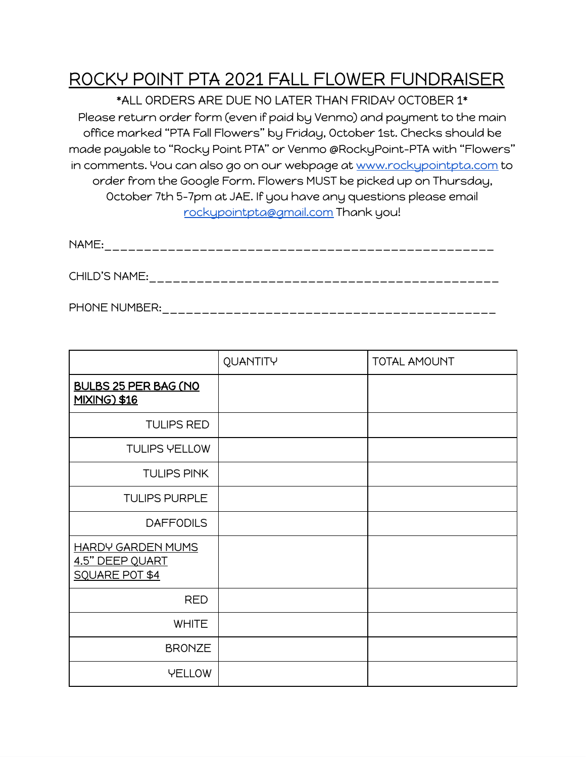## ROCKY POINT PTA 2021 FALL FLOWER FUNDRAISER

\*ALL ORDERS ARE DUE NO LATER THAN FRIDAY OCTOBER 1\* Please return order form (even if paid by Venmo) and payment to the main office marked "PTA Fall Flowers" by Friday, October 1st. Checks should be made payable to "Rocky Point PTA" or Venmo @RockyPoint-PTA with "Flowers" in comments. You can also go on our webpage at [www.rockypointpta.com](http://www.rockypointpta.com/) to order from the Google Form. Flowers MUST be picked up on Thursday, October 7th 5-7pm at JAE. If you have any questions please email [rockypointpta@gmail.com](mailto:rockypointpta@gmail.com) Thank you!

| $\mathbf{N}$ |  |  |
|--------------|--|--|
|              |  |  |
|              |  |  |
|              |  |  |
|              |  |  |
|              |  |  |

CHILD'S NAME:\_\_\_\_\_\_\_\_\_\_\_\_\_\_\_\_\_\_\_\_\_\_\_\_\_\_\_\_\_\_\_\_\_\_\_\_\_\_\_\_\_\_\_\_

PHONE NUMBER:\_\_\_\_\_\_\_\_\_\_\_\_\_\_\_\_\_\_\_\_\_\_\_\_\_\_\_\_\_\_\_\_\_\_\_\_\_\_\_\_\_\_

|                                                               | QUANTITY | <b>TOTAL AMOUNT</b> |
|---------------------------------------------------------------|----------|---------------------|
| <b>BULBS 25 PER BAG (NO</b><br><b>MIXING) \$16</b>            |          |                     |
| <b>TULIPS RED</b>                                             |          |                     |
| <b>TULIPS YELLOW</b>                                          |          |                     |
| <b>TULIPS PINK</b>                                            |          |                     |
| <b>TULIPS PURPLE</b>                                          |          |                     |
| <b>DAFFODILS</b>                                              |          |                     |
| <b>HARDY GARDEN MUMS</b><br>4.5" DEEP QUART<br>SQUARE POT \$4 |          |                     |
| <b>RED</b>                                                    |          |                     |
| <b>WHITE</b>                                                  |          |                     |
| <b>BRONZE</b>                                                 |          |                     |
| <b>YELLOW</b>                                                 |          |                     |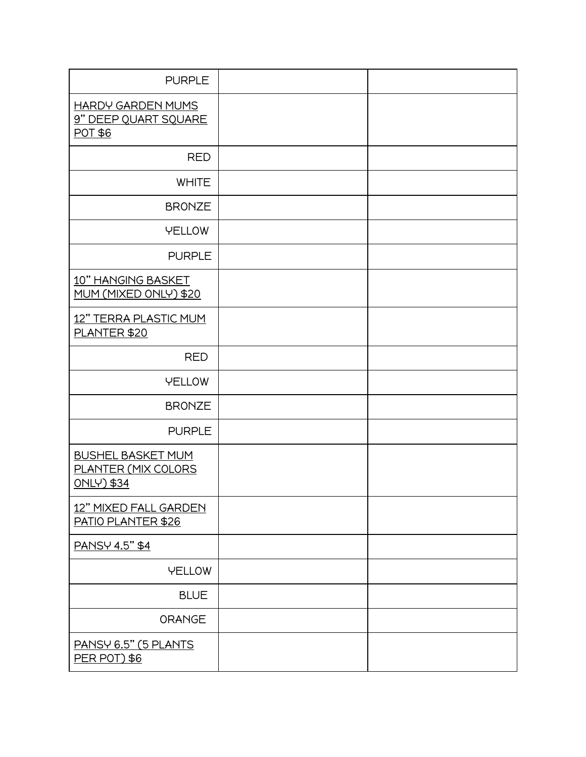| <b>PURPLE</b>                                                        |  |
|----------------------------------------------------------------------|--|
| <b>HARDY GARDEN MUMS</b><br>9" DEEP QUART SQUARE<br>POT \$6          |  |
| <b>RED</b>                                                           |  |
| <b>WHITE</b>                                                         |  |
| <b>BRONZE</b>                                                        |  |
| <b>YELLOW</b>                                                        |  |
| <b>PURPLE</b>                                                        |  |
| 10" HANGING BASKET<br>MUM (MIXED ONLY) \$20                          |  |
| 12" TERRA PLASTIC MUM<br>PLANTER \$20                                |  |
| <b>RED</b>                                                           |  |
| <b>YELLOW</b>                                                        |  |
| <b>BRONZE</b>                                                        |  |
| <b>PURPLE</b>                                                        |  |
| <b>BUSHEL BASKET MUM</b><br>PLANTER (MIX COLORS<br><b>ONLY) \$34</b> |  |
| 12" MIXED FALL GARDEN<br>PATIO PLANTER \$26                          |  |
| PANSY 4.5" \$4                                                       |  |
| <b>YELLOW</b>                                                        |  |
| <b>BLUE</b>                                                          |  |
| <b>ORANGE</b>                                                        |  |
| PANSY 6.5" (5 PLANTS<br><b>PER POT) \$6</b>                          |  |